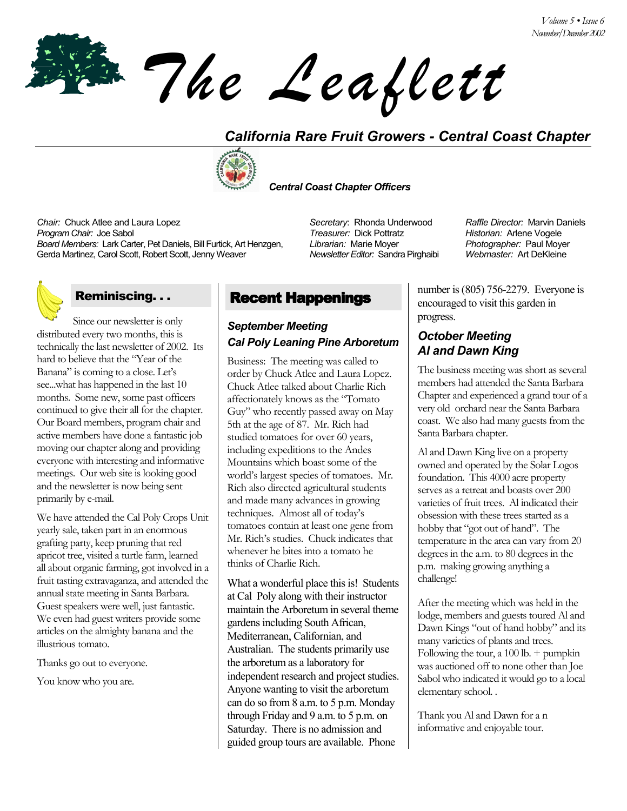*The Leaflett*

## *California Rare Fruit Growers - Central Coast Chapter*



 *Central Coast Chapter Officers*

*Chair:* Chuck Atlee and Laura Lopez *Secretary*: Rhonda Underwood *Raffle Director:* Marvin Daniels *Program Chair:* Joe Sabol *Treasurer:* Dick Pottratz *Historian:* Arlene Vogele *Board Members:* Lark Carter, Pet Daniels, Bill Furtick, Art Henzgen, Gerda Martinez, Carol Scott, Robert Scott, Jenny Weaver

## Reminiscing. . .

Since our newsletter is only distributed every two months, this is technically the last newsletter of 2002. Its hard to believe that the "Year of the Banana" is coming to a close. Let's see...what has happened in the last 10 months. Some new, some past officers continued to give their all for the chapter. Our Board members, program chair and active members have done a fantastic job moving our chapter along and providing everyone with interesting and informative meetings. Our web site is looking good and the newsletter is now being sent primarily by e-mail.

We have attended the Cal Poly Crops Unit yearly sale, taken part in an enormous grafting party, keep pruning that red apricot tree, visited a turtle farm, learned all about organic farming, got involved in a fruit tasting extravaganza, and attended the annual state meeting in Santa Barbara. Guest speakers were well, just fantastic. We even had guest writers provide some articles on the almighty banana and the illustrious tomato.

Thanks go out to everyone.

You know who you are.

## Recent Happenings

## *September Meeting Cal Poly Leaning Pine Arboretum*

Business: The meeting was called to order by Chuck Atlee and Laura Lopez. Chuck Atlee talked about Charlie Rich affectionately knows as the "Tomato Guy" who recently passed away on May 5th at the age of 87. Mr. Rich had studied tomatoes for over 60 years, including expeditions to the Andes Mountains which boast some of the world's largest species of tomatoes. Mr. Rich also directed agricultural students and made many advances in growing techniques. Almost all of today's tomatoes contain at least one gene from Mr. Rich's studies. Chuck indicates that whenever he bites into a tomato he thinks of Charlie Rich.

What a wonderful place this is! Students at Cal Poly along with their instructor maintain the Arboretum in several theme gardens including South African, Mediterranean, Californian, and Australian. The students primarily use the arboretum as a laboratory for independent research and project studies. Anyone wanting to visit the arboretum can do so from 8 a.m. to 5 p.m. Monday through Friday and 9 a.m. to 5 p.m. on Saturday. There is no admission and guided group tours are available. Phone

*Librarian:* Marie Moyer *Newsletter Editor:* Sandra Pirghaibi *Photographer:* Paul Moyer *Webmaster:* Art DeKleine

number is (805) 756-2279. Everyone is encouraged to visit this garden in progress.

### *October Meeting Al and Dawn King*

The business meeting was short as several members had attended the Santa Barbara Chapter and experienced a grand tour of a very old orchard near the Santa Barbara coast. We also had many guests from the Santa Barbara chapter.

Al and Dawn King live on a property owned and operated by the Solar Logos foundation. This 4000 acre property serves as a retreat and boasts over 200 varieties of fruit trees. Al indicated their obsession with these trees started as a hobby that "got out of hand". The temperature in the area can vary from 20 degrees in the a.m. to 80 degrees in the p.m. making growing anything a challenge!

After the meeting which was held in the lodge, members and guests toured Al and Dawn Kings "out of hand hobby" and its many varieties of plants and trees. Following the tour, a  $100$  lb. + pumpkin was auctioned off to none other than Joe Sabol who indicated it would go to a local elementary school. .

Thank you Al and Dawn for a n informative and enjoyable tour.